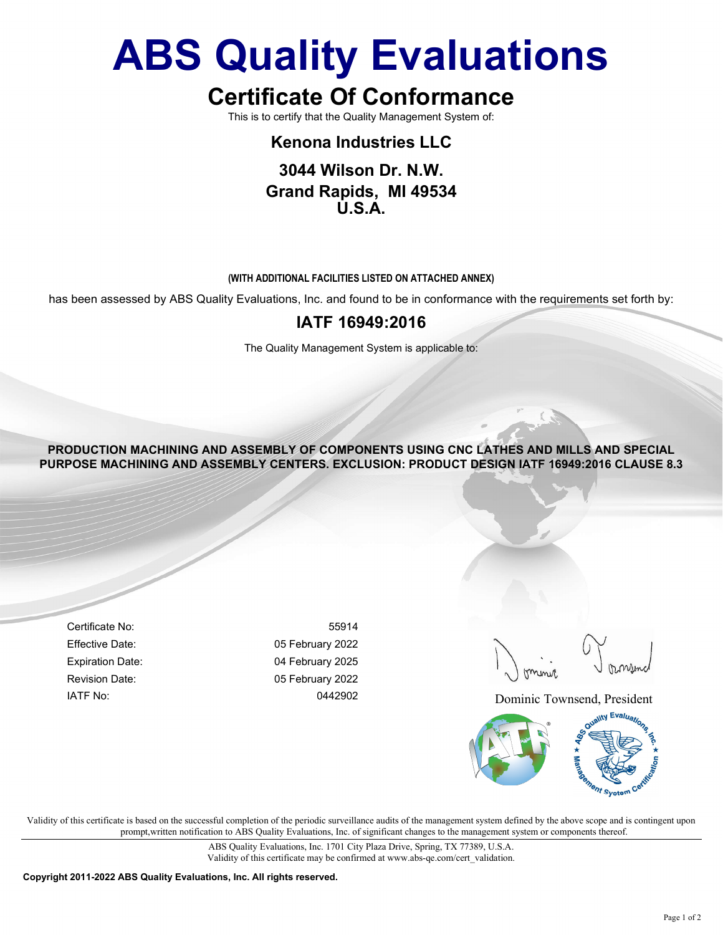# ABS Quality Evaluations

# Certificate Of Conformance

This is to certify that the Quality Management System of:

## Kenona Industries LLC

### 3044 Wilson Dr. N.W. Grand Rapids, MI 49534  $\overline{U}$  S  $\overline{A}$

#### (WITH ADDITIONAL FACILITIES LISTED ON ATTACHED ANNEX)

has been assessed by ABS Quality Evaluations, Inc. and found to be in conformance with the requirements set forth by:

### IATF 16949:2016

The Quality Management System is applicable to:

PRODUCTION MACHINING AND ASSEMBLY OF COMPONENTS USING CNC LATHES AND MILLS AND SPECIAL PURPOSE MACHINING AND ASSEMBLY CENTERS. EXCLUSION: PRODUCT DESIGN IATF 16949:2016 CLAUSE 8.3

Certificate No: 55914 Effective Date: 05 February 2022 Expiration Date: 04 February 2025 Revision Date: 05 February 2022

IATF No: 0442902 Dominic Townsend, President



Validity of this certificate is based on the successful completion of the periodic surveillance audits of the management system defined by the above scope and is contingent upon prompt,written notification to ABS Quality Evaluations, Inc. of significant changes to the management system or components thereof.

> ABS Quality Evaluations, Inc. 1701 City Plaza Drive, Spring, TX 77389, U.S.A. Validity of this certificate may be confirmed at www.abs-qe.com/cert\_validation.

Copyright 2011-2022 ABS Quality Evaluations, Inc. All rights reserved.